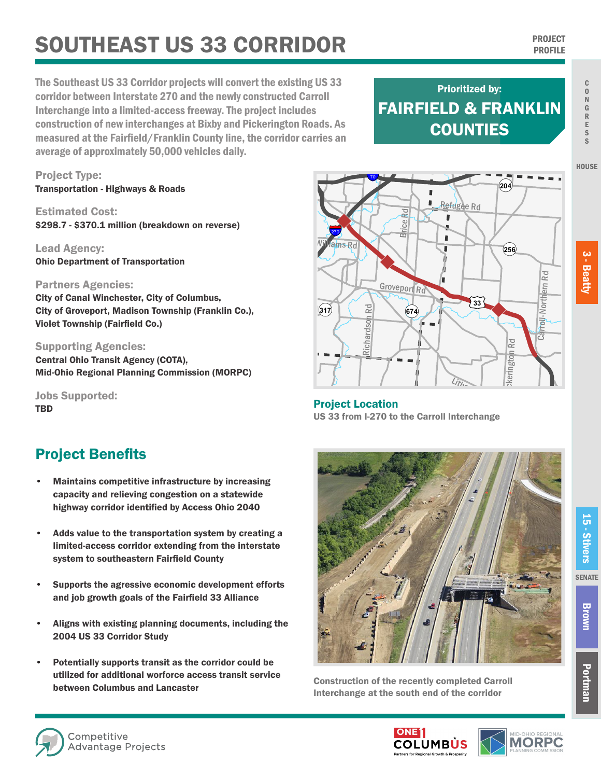# **SOUTHEAST US 33 CORRIDOR PROJECT PROJECT**

The Southeast US 33 Corridor projects will convert the existing US 33 corridor between Interstate 270 and the newly constructed Carroll Interchange into a limited-access freeway. The project includes construction of new interchanges at Bixby and Pickerington Roads. As measured at the Fairfield/Franklin County line, the corridor carries an average of approximately 50,000 vehicles daily.

## FAIRFIELD & FRANKLIN **COUNTIES** Prioritized by:

Refugee Rd

ı ī

")

Carroll-Northern Rd

roll-Northern

**Xerington Rd** 

kerington

Rd

£¤**33**

¬«**256**

¬«**204**

Project Type: Transportation - Highways & Roads

Estimated Cost: \$298.7 - \$370.1 million (breakdown on reverse)

Lead Agency: Ohio Department of Transportation

#### Partners Agencies:

City of Canal Winchester, City of Columbus, City of Groveport, Madison Township (Franklin Co.), Violet Township (Fairfield Co.)

#### Supporting Agencies:

Central Ohio Transit Agency (COTA), Mid-Ohio Regional Planning Commission (MORPC)

Jobs Supported: TBD

### Project Benefits

- Maintains competitive infrastructure by increasing capacity and relieving congestion on a statewide highway corridor identified by Access Ohio 2040
- Adds value to the transportation system by creating a limited-access corridor extending from the interstate system to southeastern Fairfield County
- Supports the agressive economic development efforts and job growth goals of the Fairfield 33 Alliance
- Aligns with existing planning documents, including the 2004 US 33 Corridor Study
- Potentially supports transit as the corridor could be utilized for additional worforce access transit service between Columbus and Lancaster

Project Location US 33 from I-270 to the Carroll Interchange  $L$ ith $\sim$ 

")

Richardson Rd

Richardson

Rd

 $(674)$ 

Groveport Rd

**Brice Rd** 

I.

§¨¦70

")

 $ms$  $Rd$ 

§¨¦270

 $\sqrt{(317)}$ 



Construction of the recently completed Carroll Interchange at the south end of the corridor

**HOUSE** 





Brown